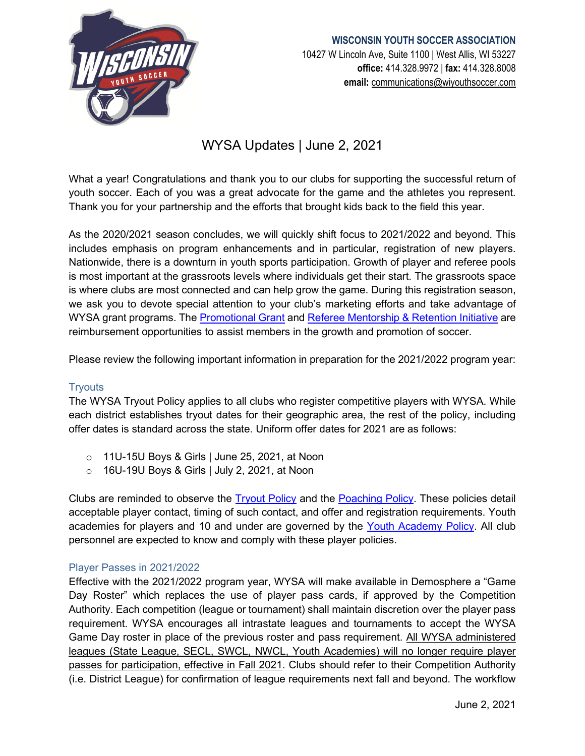

## **WISCONSIN YOUTH SOCCER ASSOCIATION** 10427 W Lincoln Ave, Suite 1100 | West Allis, WI 53227 **office:** 414.328.9972 | **fax:** 414.328.8008 **email:** [communications@wiyouthsoccer.com](mailto:communications@wiyouthsoccer.com)

# WYSA Updates | June 2, 2021

What a year! Congratulations and thank you to our clubs for supporting the successful return of youth soccer. Each of you was a great advocate for the game and the athletes you represent. Thank you for your partnership and the efforts that brought kids back to the field this year.

As the 2020/2021 season concludes, we will quickly shift focus to 2021/2022 and beyond. This includes emphasis on program enhancements and in particular, registration of new players. Nationwide, there is a downturn in youth sports participation. Growth of player and referee pools is most important at the grassroots levels where individuals get their start. The grassroots space is where clubs are most connected and can help grow the game. During this registration season, we ask you to devote special attention to your club's marketing efforts and take advantage of WYSA grant programs. The [Promotional Grant](https://www.wiyouthsoccer.com/opportunities/grant-awards/) and [Referee Mentorship & Retention Initiative](https://www.wiyouthsoccer.com/opportunities/referee-mentorship-retention-initiative/) are reimbursement opportunities to assist members in the growth and promotion of soccer.

Please review the following important information in preparation for the 2021/2022 program year:

## **Tryouts**

The WYSA Tryout Policy applies to all clubs who register competitive players with WYSA. While each district establishes tryout dates for their geographic area, the rest of the policy, including offer dates is standard across the state. Uniform offer dates for 2021 are as follows:

- o 11U-15U Boys & Girls | June 25, 2021, at Noon
- o 16U-19U Boys & Girls | July 2, 2021, at Noon

Clubs are reminded to observe the [Tryout Policy](https://www.wiyouthsoccer.com/assets/75/6/tryout_policy_2122_amended_approved.pdf) and the [Poaching Policy.](https://www.wiyouthsoccer.com/assets/75/6/poaching_policy_approved1.pdf) These policies detail acceptable player contact, timing of such contact, and offer and registration requirements. Youth academies for players and 10 and under are governed by the [Youth Academy Policy.](https://www.wiyouthsoccer.com/assets/75/6/youth_academy_policy_amended_approved.pdf) All club personnel are expected to know and comply with these player policies.

#### Player Passes in 2021/2022

Effective with the 2021/2022 program year, WYSA will make available in Demosphere a "Game Day Roster" which replaces the use of player pass cards, if approved by the Competition Authority. Each competition (league or tournament) shall maintain discretion over the player pass requirement. WYSA encourages all intrastate leagues and tournaments to accept the WYSA Game Day roster in place of the previous roster and pass requirement. All WYSA administered leagues (State League, SECL, SWCL, NWCL, Youth Academies) will no longer require player passes for participation, effective in Fall 2021. Clubs should refer to their Competition Authority (i.e. District League) for confirmation of league requirements next fall and beyond. The workflow